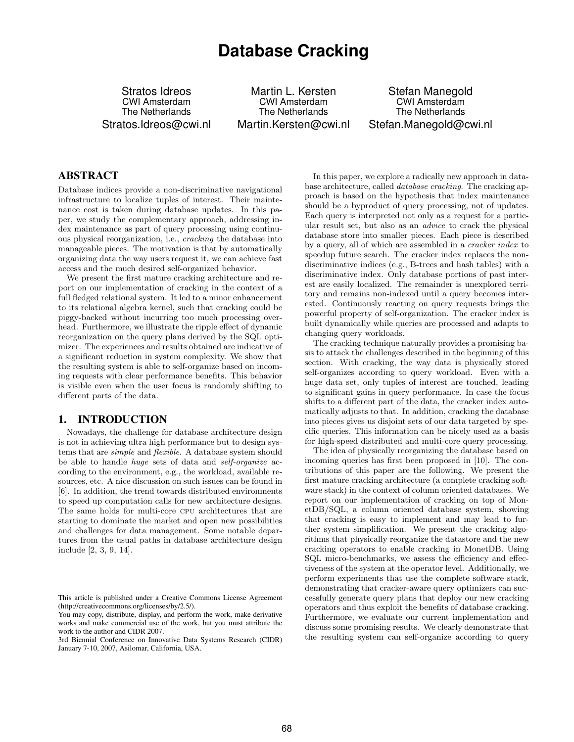# **Database Cracking**

Stratos Idreos CWI Amsterdam The Netherlands Stratos.Idreos@cwi.nl

Martin L. Kersten CWI Amsterdam The Netherlands Martin.Kersten@cwi.nl

Stefan Manegold CWI Amsterdam The Netherlands Stefan.Manegold@cwi.nl

# ABSTRACT

Database indices provide a non-discriminative navigational infrastructure to localize tuples of interest. Their maintenance cost is taken during database updates. In this paper, we study the complementary approach, addressing index maintenance as part of query processing using continuous physical reorganization, i.e., cracking the database into manageable pieces. The motivation is that by automatically organizing data the way users request it, we can achieve fast access and the much desired self-organized behavior.

We present the first mature cracking architecture and report on our implementation of cracking in the context of a full fledged relational system. It led to a minor enhancement to its relational algebra kernel, such that cracking could be piggy-backed without incurring too much processing overhead. Furthermore, we illustrate the ripple effect of dynamic reorganization on the query plans derived by the SQL optimizer. The experiences and results obtained are indicative of a significant reduction in system complexity. We show that the resulting system is able to self-organize based on incoming requests with clear performance benefits. This behavior is visible even when the user focus is randomly shifting to different parts of the data.

# 1. INTRODUCTION

Nowadays, the challenge for database architecture design is not in achieving ultra high performance but to design systems that are simple and flexible. A database system should be able to handle huge sets of data and self-organize according to the environment, e.g., the workload, available resources, etc. A nice discussion on such issues can be found in [6]. In addition, the trend towards distributed environments to speed up computation calls for new architecture designs. The same holds for multi-core cpu architectures that are starting to dominate the market and open new possibilities and challenges for data management. Some notable departures from the usual paths in database architecture design include [2, 3, 9, 14].

3rd Biennial Conference on Innovative Data Systems Research (CIDR) January 7-10, 2007, Asilomar, California, USA.

In this paper, we explore a radically new approach in database architecture, called database cracking. The cracking approach is based on the hypothesis that index maintenance should be a byproduct of query processing, not of updates. Each query is interpreted not only as a request for a particular result set, but also as an advice to crack the physical database store into smaller pieces. Each piece is described by a query, all of which are assembled in a cracker index to speedup future search. The cracker index replaces the nondiscriminative indices (e.g., B-trees and hash tables) with a discriminative index. Only database portions of past interest are easily localized. The remainder is unexplored territory and remains non-indexed until a query becomes interested. Continuously reacting on query requests brings the powerful property of self-organization. The cracker index is built dynamically while queries are processed and adapts to changing query workloads.

The cracking technique naturally provides a promising basis to attack the challenges described in the beginning of this section. With cracking, the way data is physically stored self-organizes according to query workload. Even with a huge data set, only tuples of interest are touched, leading to significant gains in query performance. In case the focus shifts to a different part of the data, the cracker index automatically adjusts to that. In addition, cracking the database into pieces gives us disjoint sets of our data targeted by specific queries. This information can be nicely used as a basis for high-speed distributed and multi-core query processing.

The idea of physically reorganizing the database based on incoming queries has first been proposed in [10]. The contributions of this paper are the following. We present the first mature cracking architecture (a complete cracking software stack) in the context of column oriented databases. We report on our implementation of cracking on top of MonetDB/SQL, a column oriented database system, showing that cracking is easy to implement and may lead to further system simplification. We present the cracking algorithms that physically reorganize the datastore and the new cracking operators to enable cracking in MonetDB. Using SQL micro-benchmarks, we assess the efficiency and effectiveness of the system at the operator level. Additionally, we perform experiments that use the complete software stack, demonstrating that cracker-aware query optimizers can successfully generate query plans that deploy our new cracking operators and thus exploit the benefits of database cracking. Furthermore, we evaluate our current implementation and discuss some promising results. We clearly demonstrate that the resulting system can self-organize according to query

This article is published under a Creative Commons License Agreement (http://creativecommons.org/licenses/by/2.5/).

You may copy, distribute, display, and perform the work, make derivative works and make commercial use of the work, but you must attribute the work to the author and CIDR 2007.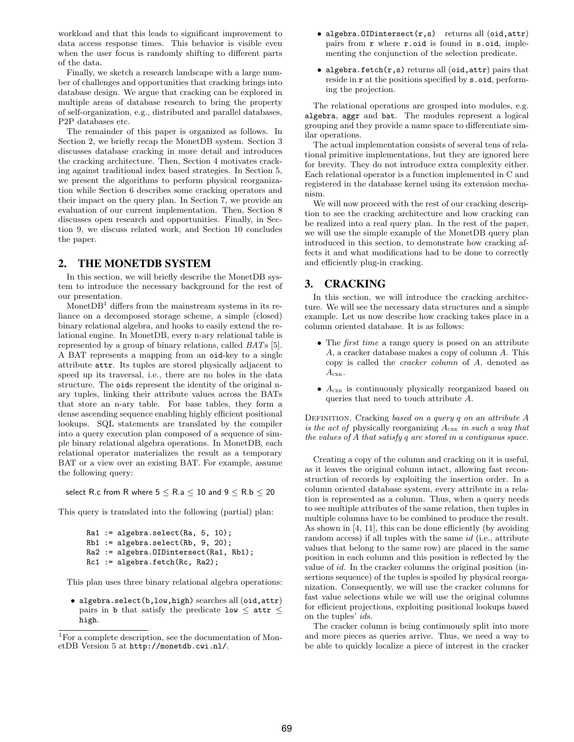workload and that this leads to significant improvement to data access response times. This behavior is visible even when the user focus is randomly shifting to different parts of the data.

Finally, we sketch a research landscape with a large number of challenges and opportunities that cracking brings into database design. We argue that cracking can be explored in multiple areas of database research to bring the property of self-organization, e.g., distributed and parallel databases, P<sub>2</sub>P databases etc.

The remainder of this paper is organized as follows. In Section 2, we briefly recap the MonetDB system. Section 3 discusses database cracking in more detail and introduces the cracking architecture. Then, Section 4 motivates cracking against traditional index based strategies. In Section 5, we present the algorithms to perform physical reorganization while Section 6 describes some cracking operators and their impact on the query plan. In Section 7, we provide an evaluation of our current implementation. Then, Section 8 discusses open research and opportunities. Finally, in Section 9, we discuss related work, and Section 10 concludes the paper.

# 2. THE MONETDB SYSTEM

In this section, we will briefly describe the MonetDB system to introduce the necessary background for the rest of our presentation.

Monet $DB<sup>1</sup>$  differs from the mainstream systems in its reliance on a decomposed storage scheme, a simple (closed) binary relational algebra, and hooks to easily extend the relational engine. In MonetDB, every n-ary relational table is represented by a group of binary relations, called BATs [5]. A BAT represents a mapping from an oid-key to a single attribute attr. Its tuples are stored physically adjacent to speed up its traversal, i.e., there are no holes in the data structure. The oids represent the identity of the original nary tuples, linking their attribute values across the BATs that store an n-ary table. For base tables, they form a dense ascending sequence enabling highly efficient positional lookups. SQL statements are translated by the compiler into a query execution plan composed of a sequence of simple binary relational algebra operations. In MonetDB, each relational operator materializes the result as a temporary BAT or a view over an existing BAT. For example, assume the following query:

select R.c from R where  $5 \leq R.a \leq 10$  and  $9 \leq R.b \leq 20$ 

This query is translated into the following (partial) plan:

```
Ra1 := algebra.setlect(Ra, 5, 10);Rb1 := algebra.select(Rb, 9, 20);
Ra2 := algebra.OIDintersect(Ra1, Rb1);
Rc1 := algebra.fetch(Rc, Ra2);
```
This plan uses three binary relational algebra operations:

• algebra.select(b,low,high) searches all (oid,attr) pairs in b that satisfy the predicate low  $\leq$  attr  $\leq$ high.

- algebra.OIDintersect(r,s) returns all (oid, attr) pairs from r where r.oid is found in s.oid, implementing the conjunction of the selection predicate.
- algebra.fetch $(r, s)$  returns all (oid, attr) pairs that reside in r at the positions specified by s.oid, performing the projection.

The relational operations are grouped into modules, e.g. algebra, aggr and bat. The modules represent a logical grouping and they provide a name space to differentiate similar operations.

The actual implementation consists of several tens of relational primitive implementations, but they are ignored here for brevity. They do not introduce extra complexity either. Each relational operator is a function implemented in C and registered in the database kernel using its extension mechanism.

We will now proceed with the rest of our cracking description to see the cracking architecture and how cracking can be realized into a real query plan. In the rest of the paper, we will use the simple example of the MonetDB query plan introduced in this section, to demonstrate how cracking affects it and what modifications had to be done to correctly and efficiently plug-in cracking.

# 3. CRACKING

In this section, we will introduce the cracking architecture. We will see the necessary data structures and a simple example. Let us now describe how cracking takes place in a column oriented database. It is as follows:

- The *first time* a range query is posed on an attribute A, a cracker database makes a copy of column A. This copy is called the cracker column of A, denoted as  $A_{\text{CRK}}$ .
- $\bullet$   $A_{\text{CRK}}$  is continuously physically reorganized based on queries that need to touch attribute A.

DEFINITION. Cracking based on a query q on an attribute A is the act of physically reorganizing  $A_{CRK}$  in such a way that the values of A that satisfy q are stored in a contiguous space.

Creating a copy of the column and cracking on it is useful, as it leaves the original column intact, allowing fast reconstruction of records by exploiting the insertion order. In a column oriented database system, every attribute in a relation is represented as a column. Thus, when a query needs to see multiple attributes of the same relation, then tuples in multiple columns have to be combined to produce the result. As shown in [4, 11], this can be done efficiently (by avoiding random access) if all tuples with the same *id* (i.e., attribute values that belong to the same row) are placed in the same position in each column and this position is reflected by the value of id. In the cracker columns the original position (insertions sequence) of the tuples is spoiled by physical reorganization. Consequently, we will use the cracker columns for fast value selections while we will use the original columns for efficient projections, exploiting positional lookups based on the tuples' ids.

The cracker column is being continuously split into more and more pieces as queries arrive. Thus, we need a way to be able to quickly localize a piece of interest in the cracker

<sup>&</sup>lt;sup>1</sup>For a complete description, see the documentation of MonetDB Version 5 at http://monetdb.cwi.nl/.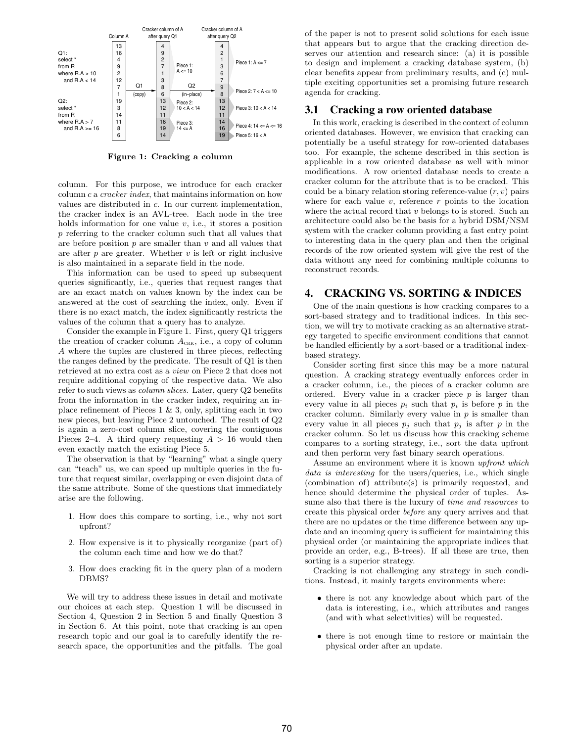

Figure 1: Cracking a column

column. For this purpose, we introduce for each cracker column c a cracker index, that maintains information on how values are distributed in c. In our current implementation, the cracker index is an AVL-tree. Each node in the tree holds information for one value  $v$ , i.e., it stores a position p referring to the cracker column such that all values that are before position  $p$  are smaller than  $v$  and all values that are after  $p$  are greater. Whether  $v$  is left or right inclusive is also maintained in a separate field in the node.

This information can be used to speed up subsequent queries significantly, i.e., queries that request ranges that are an exact match on values known by the index can be answered at the cost of searching the index, only. Even if there is no exact match, the index significantly restricts the values of the column that a query has to analyze.

Consider the example in Figure 1. First, query Q1 triggers the creation of cracker column  $A_{CRK}$ , i.e., a copy of column A where the tuples are clustered in three pieces, reflecting the ranges defined by the predicate. The result of Q1 is then retrieved at no extra cost as a view on Piece 2 that does not require additional copying of the respective data. We also refer to such views as column slices. Later, query Q2 benefits from the information in the cracker index, requiring an inplace refinement of Pieces  $1 \& 3$ , only, splitting each in two new pieces, but leaving Piece 2 untouched. The result of Q2 is again a zero-cost column slice, covering the contiguous Pieces 2–4. A third query requesting  $A > 16$  would then even exactly match the existing Piece 5.

The observation is that by "learning" what a single query can "teach" us, we can speed up multiple queries in the future that request similar, overlapping or even disjoint data of the same attribute. Some of the questions that immediately arise are the following.

- 1. How does this compare to sorting, i.e., why not sort upfront?
- 2. How expensive is it to physically reorganize (part of) the column each time and how we do that?
- 3. How does cracking fit in the query plan of a modern DBMS?

We will try to address these issues in detail and motivate our choices at each step. Question 1 will be discussed in Section 4, Question 2 in Section 5 and finally Question 3 in Section 6. At this point, note that cracking is an open research topic and our goal is to carefully identify the research space, the opportunities and the pitfalls. The goal of the paper is not to present solid solutions for each issue that appears but to argue that the cracking direction deserves our attention and research since: (a) it is possible to design and implement a cracking database system, (b) clear benefits appear from preliminary results, and (c) multiple exciting opportunities set a promising future research agenda for cracking.

# 3.1 Cracking a row oriented database

In this work, cracking is described in the context of column oriented databases. However, we envision that cracking can potentially be a useful strategy for row-oriented databases too. For example, the scheme described in this section is applicable in a row oriented database as well with minor modifications. A row oriented database needs to create a cracker column for the attribute that is to be cracked. This could be a binary relation storing reference-value  $(r, v)$  pairs where for each value  $v$ , reference  $r$  points to the location where the actual record that  $v$  belongs to is stored. Such an architecture could also be the basis for a hybrid DSM/NSM system with the cracker column providing a fast entry point to interesting data in the query plan and then the original records of the row oriented system will give the rest of the data without any need for combining multiple columns to reconstruct records.

# 4. CRACKING VS. SORTING & INDICES

One of the main questions is how cracking compares to a sort-based strategy and to traditional indices. In this section, we will try to motivate cracking as an alternative strategy targeted to specific environment conditions that cannot be handled efficiently by a sort-based or a traditional indexbased strategy.

Consider sorting first since this may be a more natural question. A cracking strategy eventually enforces order in a cracker column, i.e., the pieces of a cracker column are ordered. Every value in a cracker piece  $p$  is larger than every value in all pieces  $p_i$  such that  $p_i$  is before  $p$  in the cracker column. Similarly every value in  $p$  is smaller than every value in all pieces  $p_j$  such that  $p_j$  is after p in the cracker column. So let us discuss how this cracking scheme compares to a sorting strategy, i.e., sort the data upfront and then perform very fast binary search operations.

Assume an environment where it is known upfront which data is interesting for the users/queries, i.e., which single (combination of) attribute(s) is primarily requested, and hence should determine the physical order of tuples. Assume also that there is the luxury of *time and resources* to create this physical order before any query arrives and that there are no updates or the time difference between any update and an incoming query is sufficient for maintaining this physical order (or maintaining the appropriate indices that provide an order, e.g., B-trees). If all these are true, then sorting is a superior strategy.

Cracking is not challenging any strategy in such conditions. Instead, it mainly targets environments where:

- there is not any knowledge about which part of the data is interesting, i.e., which attributes and ranges (and with what selectivities) will be requested.
- there is not enough time to restore or maintain the physical order after an update.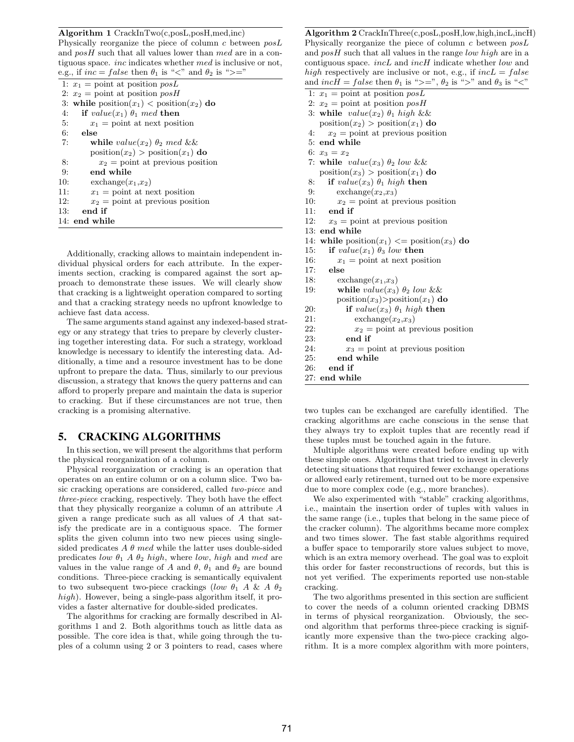Algorithm 1 CrackInTwo(c,posL,posH,med,inc)

Physically reorganize the piece of column c between posL and  $posH$  such that all values lower than med are in a contiguous space. inc indicates whether med is inclusive or not, e.g., if  $inc = false$  then  $\theta_1$  is "<" and  $\theta_2$  is ">="

|     | 1: $x_1 = \text{point at position } posL$     |
|-----|-----------------------------------------------|
|     | 2: $x_2 =$ point at position $posH$           |
|     | 3: while $position(x_1) < position(x_2)$ do   |
| 4:  | if $value(x_1) \theta_1 \text{ med then}$     |
| 5:  | $x_1$ = point at next position                |
| 6:  | else                                          |
| 7:  | while $value(x_2) \theta_2 \text{ med } \&\&$ |
|     | $position(x_2) > position(x_1)$ do            |
| 8:  | $x_2$ = point at previous position            |
| 9:  | end while                                     |
| 10: | $\exp(x_1,x_2)$                               |
| 11: | $x_1$ = point at next position                |
| 12: | $x_2$ = point at previous position            |
| 13: | end if                                        |
|     | 14: end while                                 |
|     |                                               |

Additionally, cracking allows to maintain independent individual physical orders for each attribute. In the experiments section, cracking is compared against the sort approach to demonstrate these issues. We will clearly show that cracking is a lightweight operation compared to sorting and that a cracking strategy needs no upfront knowledge to achieve fast data access.

The same arguments stand against any indexed-based strategy or any strategy that tries to prepare by cleverly clustering together interesting data. For such a strategy, workload knowledge is necessary to identify the interesting data. Additionally, a time and a resource investment has to be done upfront to prepare the data. Thus, similarly to our previous discussion, a strategy that knows the query patterns and can afford to properly prepare and maintain the data is superior to cracking. But if these circumstances are not true, then cracking is a promising alternative.

# 5. CRACKING ALGORITHMS

In this section, we will present the algorithms that perform the physical reorganization of a column.

Physical reorganization or cracking is an operation that operates on an entire column or on a column slice. Two basic cracking operations are considered, called two-piece and three-piece cracking, respectively. They both have the effect that they physically reorganize a column of an attribute A given a range predicate such as all values of A that satisfy the predicate are in a contiguous space. The former splits the given column into two new pieces using singlesided predicates  $A \theta$  med while the latter uses double-sided predicates low  $\theta_1$  A  $\theta_2$  high, where low, high and med are values in the value range of A and  $\theta$ ,  $\theta_1$  and  $\theta_2$  are bound conditions. Three-piece cracking is semantically equivalent to two subsequent two-piece crackings (low  $\theta_1$  A & A  $\theta_2$ ) high). However, being a single-pass algorithm itself, it provides a faster alternative for double-sided predicates.

The algorithms for cracking are formally described in Algorithms 1 and 2. Both algorithms touch as little data as possible. The core idea is that, while going through the tuples of a column using 2 or 3 pointers to read, cases where

Algorithm 2 CrackInThree(c,posL,posH,low,high,incL,incH) Physically reorganize the piece of column c between posL and  $posH$  such that all values in the range low high are in a contiguous space. incL and incH indicate whether low and high respectively are inclusive or not, e.g., if  $incL = false$ and  $inc\hat{H} = false$  then  $\theta_1$  is ">=",  $\theta_2$  is ">" and  $\theta_3$  is "<" 1:  $x_1$  = point at position  $posL$ 2:  $x_2 =$  point at position  $posH$ 3: while  $value(x_2) \theta_1$  high &&  $position(x_2) > position(x_1)$  do 4:  $x_2 = \text{point at previous position}$ 5: end while 6:  $x_3 = x_2$ 7: while  $value(x_3) \theta_2$  low & &  $position(x_3) > position(x_1)$  do 8: if  $value(x_3)$   $\theta_1$  high then 9: exchange $(x_2, x_3)$ 10:  $x_2 = \text{point at previous position}$ 11: end if 12:  $x_3 = \text{point at previous position}$ 13: end while 14: while  $position(x_1) \leq position(x_3)$  do 15: if  $value(x_1) \theta_3$  low then 16:  $x_1 = \text{point at next position}$ 17: else 18:  $\operatorname{exchange}(x_1, x_3)$ 19: while  $value(x_3) \theta_2$  low && position $(x_3)$ >position $(x_1)$  do 20: if  $value(x_3) \theta_1$  high then 21:  $\exp(x_2,x_3)$ 22:  $x_2 = \text{point at previous position}$ 23: end if 24:  $x_3 = \text{point at previous position}$ 25: end while 26: end if 27: end while

two tuples can be exchanged are carefully identified. The cracking algorithms are cache conscious in the sense that they always try to exploit tuples that are recently read if these tuples must be touched again in the future.

Multiple algorithms were created before ending up with these simple ones. Algorithms that tried to invest in cleverly detecting situations that required fewer exchange operations or allowed early retirement, turned out to be more expensive due to more complex code (e.g., more branches).

We also experimented with "stable" cracking algorithms, i.e., maintain the insertion order of tuples with values in the same range (i.e., tuples that belong in the same piece of the cracker column). The algorithms became more complex and two times slower. The fast stable algorithms required a buffer space to temporarily store values subject to move, which is an extra memory overhead. The goal was to exploit this order for faster reconstructions of records, but this is not yet verified. The experiments reported use non-stable cracking.

The two algorithms presented in this section are sufficient to cover the needs of a column oriented cracking DBMS in terms of physical reorganization. Obviously, the second algorithm that performs three-piece cracking is significantly more expensive than the two-piece cracking algorithm. It is a more complex algorithm with more pointers,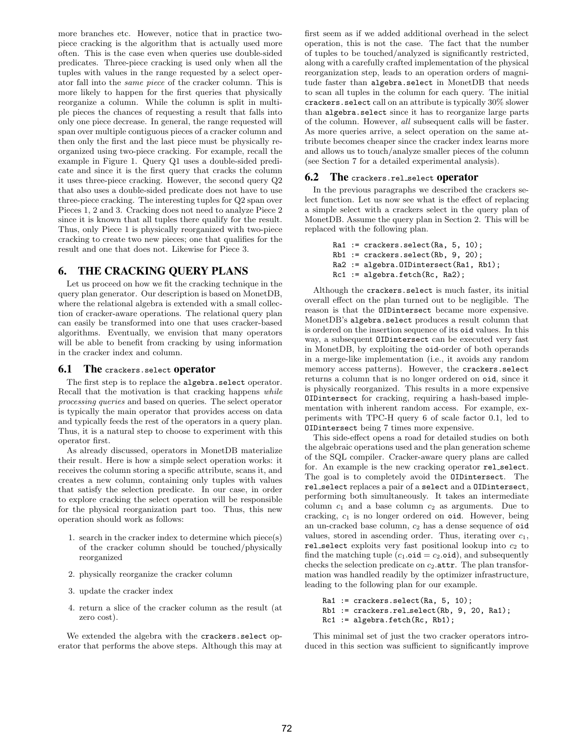more branches etc. However, notice that in practice twopiece cracking is the algorithm that is actually used more often. This is the case even when queries use double-sided predicates. Three-piece cracking is used only when all the tuples with values in the range requested by a select operator fall into the same piece of the cracker column. This is more likely to happen for the first queries that physically reorganize a column. While the column is split in multiple pieces the chances of requesting a result that falls into only one piece decrease. In general, the range requested will span over multiple contiguous pieces of a cracker column and then only the first and the last piece must be physically reorganized using two-piece cracking. For example, recall the example in Figure 1. Query Q1 uses a double-sided predicate and since it is the first query that cracks the column it uses three-piece cracking. However, the second query Q2 that also uses a double-sided predicate does not have to use three-piece cracking. The interesting tuples for Q2 span over Pieces 1, 2 and 3. Cracking does not need to analyze Piece 2 since it is known that all tuples there qualify for the result. Thus, only Piece 1 is physically reorganized with two-piece cracking to create two new pieces; one that qualifies for the result and one that does not. Likewise for Piece 3.

# 6. THE CRACKING QUERY PLANS

Let us proceed on how we fit the cracking technique in the query plan generator. Our description is based on MonetDB, where the relational algebra is extended with a small collection of cracker-aware operations. The relational query plan can easily be transformed into one that uses cracker-based algorithms. Eventually, we envision that many operators will be able to benefit from cracking by using information in the cracker index and column.

### **6.1** The crackers. select **operator**

The first step is to replace the algebra.select operator. Recall that the motivation is that cracking happens while processing queries and based on queries. The select operator is typically the main operator that provides access on data and typically feeds the rest of the operators in a query plan. Thus, it is a natural step to choose to experiment with this operator first.

As already discussed, operators in MonetDB materialize their result. Here is how a simple select operation works: it receives the column storing a specific attribute, scans it, and creates a new column, containing only tuples with values that satisfy the selection predicate. In our case, in order to explore cracking the select operation will be responsible for the physical reorganization part too. Thus, this new operation should work as follows:

- 1. search in the cracker index to determine which piece(s) of the cracker column should be touched/physically reorganized
- 2. physically reorganize the cracker column
- 3. update the cracker index
- 4. return a slice of the cracker column as the result (at zero cost).

We extended the algebra with the crackers.select operator that performs the above steps. Although this may at first seem as if we added additional overhead in the select operation, this is not the case. The fact that the number of tuples to be touched/analyzed is significantly restricted, along with a carefully crafted implementation of the physical reorganization step, leads to an operation orders of magnitude faster than algebra.select in MonetDB that needs to scan all tuples in the column for each query. The initial crackers.select call on an attribute is typically 30% slower than algebra.select since it has to reorganize large parts of the column. However, all subsequent calls will be faster. As more queries arrive, a select operation on the same attribute becomes cheaper since the cracker index learns more and allows us to touch/analyze smaller pieces of the column (see Section 7 for a detailed experimental analysis).

#### **6.2** The crackers.rel\_select **operator**

In the previous paragraphs we described the crackers select function. Let us now see what is the effect of replacing a simple select with a crackers select in the query plan of MonetDB. Assume the query plan in Section 2. This will be replaced with the following plan.

```
Ra1 := crackers.select(Ra, 5, 10);
Rb1 := crackers.select(Rb, 9, 20);
Ra2 := algebra.OIDintersect(Ra1, Rb1);
Rc1 := \text{algebra.fetch}(Rc, Ra2);
```
Although the crackers.select is much faster, its initial overall effect on the plan turned out to be negligible. The reason is that the OIDintersect became more expensive. MonetDB's algebra.select produces a result column that is ordered on the insertion sequence of its oid values. In this way, a subsequent OIDintersect can be executed very fast in MonetDB, by exploiting the oid-order of both operands in a merge-like implementation (i.e., it avoids any random memory access patterns). However, the crackers.select returns a column that is no longer ordered on oid, since it is physically reorganized. This results in a more expensive OIDintersect for cracking, requiring a hash-based implementation with inherent random access. For example, experiments with TPC-H query 6 of scale factor 0.1, led to OIDintersect being 7 times more expensive.

This side-effect opens a road for detailed studies on both the algebraic operations used and the plan generation scheme of the SQL compiler. Cracker-aware query plans are called for. An example is the new cracking operator rel select. The goal is to completely avoid the OIDintersect. The rel select replaces a pair of a select and a OIDintersect, performing both simultaneously. It takes an intermediate column  $c_1$  and a base column  $c_2$  as arguments. Due to cracking,  $c_1$  is no longer ordered on oid. However, being an un-cracked base column,  $c_2$  has a dense sequence of oid values, stored in ascending order. Thus, iterating over  $c_1$ , rel select exploits very fast positional lookup into  $c_2$  to find the matching tuple  $(c_1.\texttt{oid} = c_2.\texttt{oid})$ , and subsequently checks the selection predicate on  $c_2$  attr. The plan transformation was handled readily by the optimizer infrastructure, leading to the following plan for our example.

```
Ra1 := crackers.select(Ra, 5, 10);
Rb1 := crackers.rel_select(Rb, 9, 20, Ra1);
Rc1 := algebra.fetch(Rc, Rb1);
```
This minimal set of just the two cracker operators introduced in this section was sufficient to significantly improve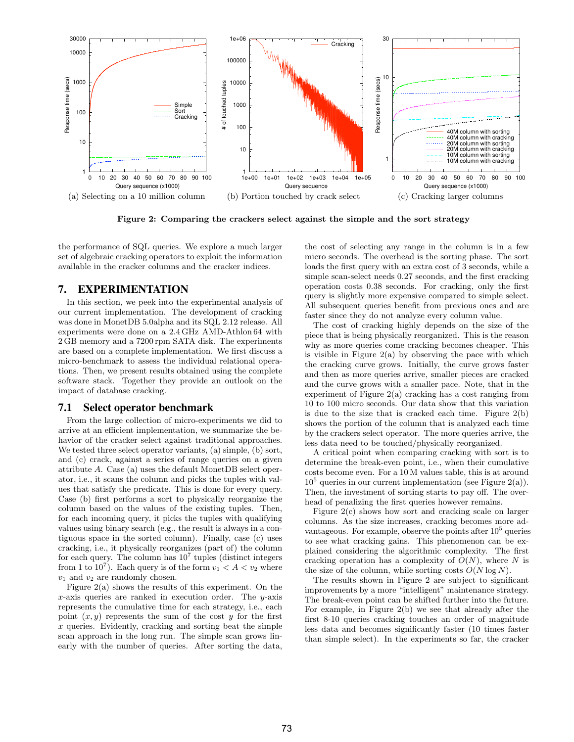

Figure 2: Comparing the crackers select against the simple and the sort strategy

the performance of SQL queries. We explore a much larger set of algebraic cracking operators to exploit the information available in the cracker columns and the cracker indices.

# 7. EXPERIMENTATION

In this section, we peek into the experimental analysis of our current implementation. The development of cracking was done in MonetDB 5.0alpha and its SQL 2.12 release. All experiments were done on a 2.4 GHz AMD-Athlon 64 with 2 GB memory and a 7200 rpm SATA disk. The experiments are based on a complete implementation. We first discuss a micro-benchmark to assess the individual relational operations. Then, we present results obtained using the complete software stack. Together they provide an outlook on the impact of database cracking.

#### 7.1 Select operator benchmark

From the large collection of micro-experiments we did to arrive at an efficient implementation, we summarize the behavior of the cracker select against traditional approaches. We tested three select operator variants, (a) simple, (b) sort, and (c) crack, against a series of range queries on a given attribute A. Case (a) uses the default MonetDB select operator, i.e., it scans the column and picks the tuples with values that satisfy the predicate. This is done for every query. Case (b) first performs a sort to physically reorganize the column based on the values of the existing tuples. Then, for each incoming query, it picks the tuples with qualifying values using binary search (e.g., the result is always in a contiguous space in the sorted column). Finally, case (c) uses cracking, i.e., it physically reorganizes (part of) the column for each query. The column has  $10^7$  tuples (distinct integers from 1 to 10<sup>7</sup>). Each query is of the form  $v_1 < A < v_2$  where  $v_1$  and  $v_2$  are randomly chosen.

Figure 2(a) shows the results of this experiment. On the x-axis queries are ranked in execution order. The  $y$ -axis represents the cumulative time for each strategy, i.e., each point  $(x, y)$  represents the sum of the cost y for the first  $x$  queries. Evidently, cracking and sorting beat the simple scan approach in the long run. The simple scan grows linearly with the number of queries. After sorting the data,

the cost of selecting any range in the column is in a few micro seconds. The overhead is the sorting phase. The sort loads the first query with an extra cost of 3 seconds, while a simple scan-select needs 0.27 seconds, and the first cracking operation costs 0.38 seconds. For cracking, only the first query is slightly more expensive compared to simple select. All subsequent queries benefit from previous ones and are faster since they do not analyze every column value.

The cost of cracking highly depends on the size of the piece that is being physically reorganized. This is the reason why as more queries come cracking becomes cheaper. This is visible in Figure  $2(a)$  by observing the pace with which the cracking curve grows. Initially, the curve grows faster and then as more queries arrive, smaller pieces are cracked and the curve grows with a smaller pace. Note, that in the experiment of Figure  $2(a)$  cracking has a cost ranging from 10 to 100 micro seconds. Our data show that this variation is due to the size that is cracked each time. Figure 2(b) shows the portion of the column that is analyzed each time by the crackers select operator. The more queries arrive, the less data need to be touched/physically reorganized.

A critical point when comparing cracking with sort is to determine the break-even point, i.e., when their cumulative costs become even. For a 10 M values table, this is at around  $10^5$  queries in our current implementation (see Figure 2(a)). Then, the investment of sorting starts to pay off. The overhead of penalizing the first queries however remains.

Figure 2(c) shows how sort and cracking scale on larger columns. As the size increases, cracking becomes more advantageous. For example, observe the points after  $10<sup>5</sup>$  queries to see what cracking gains. This phenomenon can be explained considering the algorithmic complexity. The first cracking operation has a complexity of  $O(N)$ , where N is the size of the column, while sorting costs  $O(N \log N)$ .

The results shown in Figure 2 are subject to significant improvements by a more "intelligent" maintenance strategy. The break-even point can be shifted further into the future. For example, in Figure 2(b) we see that already after the first 8-10 queries cracking touches an order of magnitude less data and becomes significantly faster (10 times faster than simple select). In the experiments so far, the cracker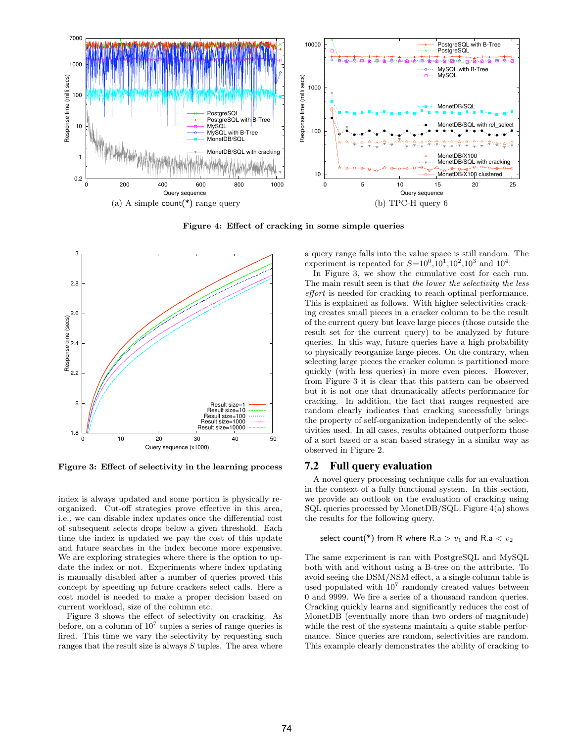

Figure 4: Effect of cracking in some simple queries



Figure 3: Effect of selectivity in the learning process

index is always updated and some portion is physically reorganized. Cut-off strategies prove effective in this area, i.e., we can disable index updates once the differential cost of subsequent selects drops below a given threshold. Each time the index is updated we pay the cost of this update and future searches in the index become more expensive. We are exploring strategies where there is the option to update the index or not. Experiments where index updating is manually disabled after a number of queries proved this concept by speeding up future crackers select calls. Here a cost model is needed to make a proper decision based on current workload, size of the column etc.

Figure 3 shows the effect of selectivity on cracking. As before, on a column of  $10^7$  tuples a series of range queries is fired. This time we vary the selectivity by requesting such ranges that the result size is always S tuples. The area where a query range falls into the value space is still random. The experiment is repeated for  $S=10^0, 10^1, 10^2, 10^3$  and  $10^4$ .

In Figure 3, we show the cumulative cost for each run. The main result seen is that the lower the selectivity the less effort is needed for cracking to reach optimal performance. This is explained as follows. With higher selectivities cracking creates small pieces in a cracker column to be the result of the current query but leave large pieces (those outside the result set for the current query) to be analyzed by future queries. In this way, future queries have a high probability to physically reorganize large pieces. On the contrary, when selecting large pieces the cracker column is partitioned more quickly (with less queries) in more even pieces. However, from Figure 3 it is clear that this pattern can be observed but it is not one that dramatically affects performance for cracking. In addition, the fact that ranges requested are random clearly indicates that cracking successfully brings the property of self-organization independently of the selectivities used. In all cases, results obtained outperform those of a sort based or a scan based strategy in a similar way as observed in Figure 2.

#### 7.2 Full query evaluation

A novel query processing technique calls for an evaluation in the context of a fully functional system. In this section, we provide an outlook on the evaluation of cracking using SQL queries processed by MonetDB/SQL. Figure 4(a) shows the results for the following query.

#### select count(\*) from R where R.a  $> v_1$  and R.a  $< v_2$

The same experiment is ran with PostgreSQL and MySQL both with and without using a B-tree on the attribute. To avoid seeing the DSM/NSM effect, a a single column table is used populated with  $10^7$  randomly created values between 0 and 9999. We fire a series of a thousand random queries. Cracking quickly learns and significantly reduces the cost of MonetDB (eventually more than two orders of magnitude) while the rest of the systems maintain a quite stable performance. Since queries are random, selectivities are random. This example clearly demonstrates the ability of cracking to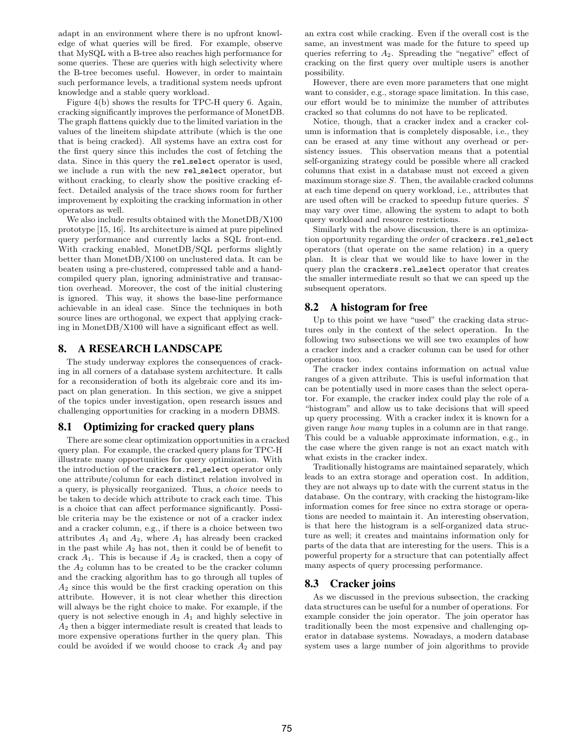adapt in an environment where there is no upfront knowledge of what queries will be fired. For example, observe that MySQL with a B-tree also reaches high performance for some queries. These are queries with high selectivity where the B-tree becomes useful. However, in order to maintain such performance levels, a traditional system needs upfront knowledge and a stable query workload.

Figure 4(b) shows the results for TPC-H query 6. Again, cracking significantly improves the performance of MonetDB. The graph flattens quickly due to the limited variation in the values of the lineitem shipdate attribute (which is the one that is being cracked). All systems have an extra cost for the first query since this includes the cost of fetching the data. Since in this query the rel select operator is used, we include a run with the new rel select operator, but without cracking, to clearly show the positive cracking effect. Detailed analysis of the trace shows room for further improvement by exploiting the cracking information in other operators as well.

We also include results obtained with the MonetDB/X100 prototype [15, 16]. Its architecture is aimed at pure pipelined query performance and currently lacks a SQL front-end. With cracking enabled, MonetDB/SQL performs slightly better than MonetDB/X100 on unclustered data. It can be beaten using a pre-clustered, compressed table and a handcompiled query plan, ignoring administrative and transaction overhead. Moreover, the cost of the initial clustering is ignored. This way, it shows the base-line performance achievable in an ideal case. Since the techniques in both source lines are orthogonal, we expect that applying cracking in MonetDB/X100 will have a significant effect as well.

# 8. A RESEARCH LANDSCAPE

The study underway explores the consequences of cracking in all corners of a database system architecture. It calls for a reconsideration of both its algebraic core and its impact on plan generation. In this section, we give a snippet of the topics under investigation, open research issues and challenging opportunities for cracking in a modern DBMS.

# 8.1 Optimizing for cracked query plans

There are some clear optimization opportunities in a cracked query plan. For example, the cracked query plans for TPC-H illustrate many opportunities for query optimization. With the introduction of the crackers.rel select operator only one attribute/column for each distinct relation involved in a query, is physically reorganized. Thus, a choice needs to be taken to decide which attribute to crack each time. This is a choice that can affect performance significantly. Possible criteria may be the existence or not of a cracker index and a cracker column, e.g., if there is a choice between two attributes  $A_1$  and  $A_2$ , where  $A_1$  has already been cracked in the past while  $A_2$  has not, then it could be of benefit to crack  $A_1$ . This is because if  $A_2$  is cracked, then a copy of the  $A_2$  column has to be created to be the cracker column and the cracking algorithm has to go through all tuples of  $A_2$  since this would be the first cracking operation on this attribute. However, it is not clear whether this direction will always be the right choice to make. For example, if the query is not selective enough in  $A_1$  and highly selective in A<sup>2</sup> then a bigger intermediate result is created that leads to more expensive operations further in the query plan. This could be avoided if we would choose to crack  $A_2$  and pay

an extra cost while cracking. Even if the overall cost is the same, an investment was made for the future to speed up queries referring to  $A_2$ . Spreading the "negative" effect of cracking on the first query over multiple users is another possibility.

However, there are even more parameters that one might want to consider, e.g., storage space limitation. In this case, our effort would be to minimize the number of attributes cracked so that columns do not have to be replicated.

Notice, though, that a cracker index and a cracker column is information that is completely disposable, i.e., they can be erased at any time without any overhead or persistency issues. This observation means that a potential self-organizing strategy could be possible where all cracked columns that exist in a database must not exceed a given maximum storage size  $S$ . Then, the available cracked columns at each time depend on query workload, i.e., attributes that are used often will be cracked to speedup future queries. S may vary over time, allowing the system to adapt to both query workload and resource restrictions.

Similarly with the above discussion, there is an optimization opportunity regarding the *order* of crackers.rel\_select operators (that operate on the same relation) in a query plan. It is clear that we would like to have lower in the query plan the crackers.rel select operator that creates the smaller intermediate result so that we can speed up the subsequent operators.

# 8.2 A histogram for free

Up to this point we have "used" the cracking data structures only in the context of the select operation. In the following two subsections we will see two examples of how a cracker index and a cracker column can be used for other operations too.

The cracker index contains information on actual value ranges of a given attribute. This is useful information that can be potentially used in more cases than the select operator. For example, the cracker index could play the role of a "histogram" and allow us to take decisions that will speed up query processing. With a cracker index it is known for a given range how many tuples in a column are in that range. This could be a valuable approximate information, e.g., in the case where the given range is not an exact match with what exists in the cracker index.

Traditionally histograms are maintained separately, which leads to an extra storage and operation cost. In addition, they are not always up to date with the current status in the database. On the contrary, with cracking the histogram-like information comes for free since no extra storage or operations are needed to maintain it. An interesting observation, is that here the histogram is a self-organized data structure as well; it creates and maintains information only for parts of the data that are interesting for the users. This is a powerful property for a structure that can potentially affect many aspects of query processing performance.

# 8.3 Cracker joins

As we discussed in the previous subsection, the cracking data structures can be useful for a number of operations. For example consider the join operator. The join operator has traditionally been the most expensive and challenging operator in database systems. Nowadays, a modern database system uses a large number of join algorithms to provide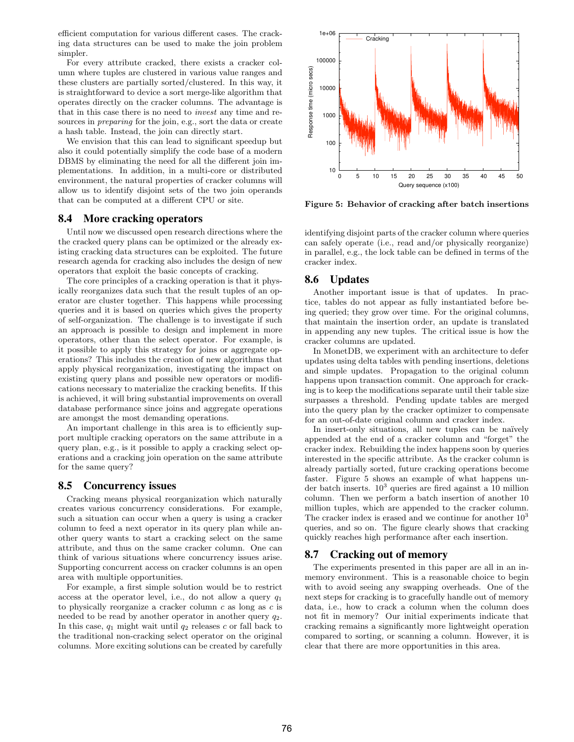efficient computation for various different cases. The cracking data structures can be used to make the join problem simpler.

For every attribute cracked, there exists a cracker column where tuples are clustered in various value ranges and these clusters are partially sorted/clustered. In this way, it is straightforward to device a sort merge-like algorithm that operates directly on the cracker columns. The advantage is that in this case there is no need to invest any time and resources in preparing for the join, e.g., sort the data or create a hash table. Instead, the join can directly start.

We envision that this can lead to significant speedup but also it could potentially simplify the code base of a modern DBMS by eliminating the need for all the different join implementations. In addition, in a multi-core or distributed environment, the natural properties of cracker columns will allow us to identify disjoint sets of the two join operands that can be computed at a different CPU or site.

## 8.4 More cracking operators

Until now we discussed open research directions where the the cracked query plans can be optimized or the already existing cracking data structures can be exploited. The future research agenda for cracking also includes the design of new operators that exploit the basic concepts of cracking.

The core principles of a cracking operation is that it physically reorganizes data such that the result tuples of an operator are cluster together. This happens while processing queries and it is based on queries which gives the property of self-organization. The challenge is to investigate if such an approach is possible to design and implement in more operators, other than the select operator. For example, is it possible to apply this strategy for joins or aggregate operations? This includes the creation of new algorithms that apply physical reorganization, investigating the impact on existing query plans and possible new operators or modifications necessary to materialize the cracking benefits. If this is achieved, it will bring substantial improvements on overall database performance since joins and aggregate operations are amongst the most demanding operations.

An important challenge in this area is to efficiently support multiple cracking operators on the same attribute in a query plan, e.g., is it possible to apply a cracking select operations and a cracking join operation on the same attribute for the same query?

# 8.5 Concurrency issues

Cracking means physical reorganization which naturally creates various concurrency considerations. For example, such a situation can occur when a query is using a cracker column to feed a next operator in its query plan while another query wants to start a cracking select on the same attribute, and thus on the same cracker column. One can think of various situations where concurrency issues arise. Supporting concurrent access on cracker columns is an open area with multiple opportunities.

For example, a first simple solution would be to restrict access at the operator level, i.e., do not allow a query  $q_1$ to physically reorganize a cracker column  $c$  as long as  $c$  is needed to be read by another operator in another query  $q_2$ . In this case,  $q_1$  might wait until  $q_2$  releases c or fall back to the traditional non-cracking select operator on the original columns. More exciting solutions can be created by carefully



Figure 5: Behavior of cracking after batch insertions

identifying disjoint parts of the cracker column where queries can safely operate (i.e., read and/or physically reorganize) in parallel, e.g., the lock table can be defined in terms of the cracker index.

# 8.6 Updates

Another important issue is that of updates. In practice, tables do not appear as fully instantiated before being queried; they grow over time. For the original columns, that maintain the insertion order, an update is translated in appending any new tuples. The critical issue is how the cracker columns are updated.

In MonetDB, we experiment with an architecture to defer updates using delta tables with pending insertions, deletions and simple updates. Propagation to the original column happens upon transaction commit. One approach for cracking is to keep the modifications separate until their table size surpasses a threshold. Pending update tables are merged into the query plan by the cracker optimizer to compensate for an out-of-date original column and cracker index.

In insert-only situations, all new tuples can be naïvely appended at the end of a cracker column and "forget" the cracker index. Rebuilding the index happens soon by queries interested in the specific attribute. As the cracker column is already partially sorted, future cracking operations become faster. Figure 5 shows an example of what happens under batch inserts.  $10^3$  queries are fired against a 10 million column. Then we perform a batch insertion of another 10 million tuples, which are appended to the cracker column. The cracker index is erased and we continue for another  $10<sup>3</sup>$ queries, and so on. The figure clearly shows that cracking quickly reaches high performance after each insertion.

# 8.7 Cracking out of memory

The experiments presented in this paper are all in an inmemory environment. This is a reasonable choice to begin with to avoid seeing any swapping overheads. One of the next steps for cracking is to gracefully handle out of memory data, i.e., how to crack a column when the column does not fit in memory? Our initial experiments indicate that cracking remains a significantly more lightweight operation compared to sorting, or scanning a column. However, it is clear that there are more opportunities in this area.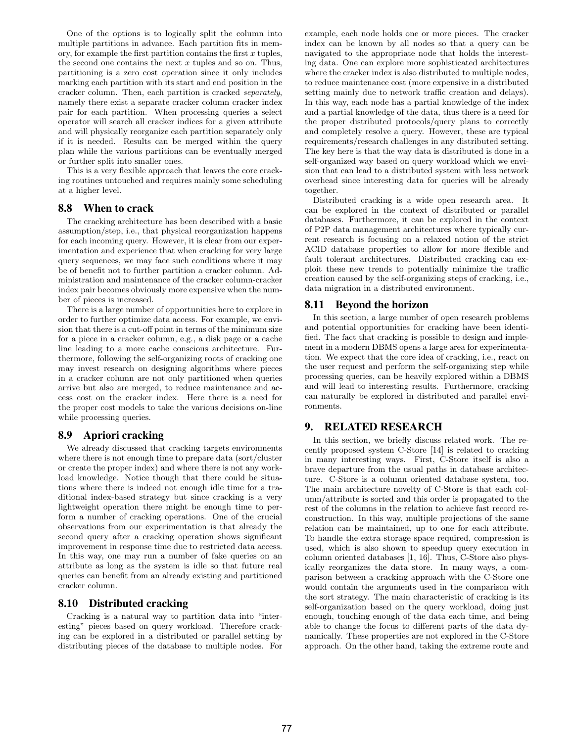One of the options is to logically split the column into multiple partitions in advance. Each partition fits in memory, for example the first partition contains the first  $x$  tuples, the second one contains the next  $x$  tuples and so on. Thus, partitioning is a zero cost operation since it only includes marking each partition with its start and end position in the cracker column. Then, each partition is cracked separately, namely there exist a separate cracker column cracker index pair for each partition. When processing queries a select operator will search all cracker indices for a given attribute and will physically reorganize each partition separately only if it is needed. Results can be merged within the query plan while the various partitions can be eventually merged or further split into smaller ones.

This is a very flexible approach that leaves the core cracking routines untouched and requires mainly some scheduling at a higher level.

# 8.8 When to crack

The cracking architecture has been described with a basic assumption/step, i.e., that physical reorganization happens for each incoming query. However, it is clear from our experimentation and experience that when cracking for very large query sequences, we may face such conditions where it may be of benefit not to further partition a cracker column. Administration and maintenance of the cracker column-cracker index pair becomes obviously more expensive when the number of pieces is increased.

There is a large number of opportunities here to explore in order to further optimize data access. For example, we envision that there is a cut-off point in terms of the minimum size for a piece in a cracker column, e.g., a disk page or a cache line leading to a more cache conscious architecture. Furthermore, following the self-organizing roots of cracking one may invest research on designing algorithms where pieces in a cracker column are not only partitioned when queries arrive but also are merged, to reduce maintenance and access cost on the cracker index. Here there is a need for the proper cost models to take the various decisions on-line while processing queries.

#### 8.9 Apriori cracking

We already discussed that cracking targets environments where there is not enough time to prepare data (sort/cluster or create the proper index) and where there is not any workload knowledge. Notice though that there could be situations where there is indeed not enough idle time for a traditional index-based strategy but since cracking is a very lightweight operation there might be enough time to perform a number of cracking operations. One of the crucial observations from our experimentation is that already the second query after a cracking operation shows significant improvement in response time due to restricted data access. In this way, one may run a number of fake queries on an attribute as long as the system is idle so that future real queries can benefit from an already existing and partitioned cracker column.

### 8.10 Distributed cracking

Cracking is a natural way to partition data into "interesting" pieces based on query workload. Therefore cracking can be explored in a distributed or parallel setting by distributing pieces of the database to multiple nodes. For example, each node holds one or more pieces. The cracker index can be known by all nodes so that a query can be navigated to the appropriate node that holds the interesting data. One can explore more sophisticated architectures where the cracker index is also distributed to multiple nodes, to reduce maintenance cost (more expensive in a distributed setting mainly due to network traffic creation and delays). In this way, each node has a partial knowledge of the index and a partial knowledge of the data, thus there is a need for the proper distributed protocols/query plans to correctly and completely resolve a query. However, these are typical requirements/research challenges in any distributed setting. The key here is that the way data is distributed is done in a self-organized way based on query workload which we envision that can lead to a distributed system with less network overhead since interesting data for queries will be already together.

Distributed cracking is a wide open research area. It can be explored in the context of distributed or parallel databases. Furthermore, it can be explored in the context of P2P data management architectures where typically current research is focusing on a relaxed notion of the strict ACID database properties to allow for more flexible and fault tolerant architectures. Distributed cracking can exploit these new trends to potentially minimize the traffic creation caused by the self-organizing steps of cracking, i.e., data migration in a distributed environment.

#### 8.11 Beyond the horizon

In this section, a large number of open research problems and potential opportunities for cracking have been identified. The fact that cracking is possible to design and implement in a modern DBMS opens a large area for experimentation. We expect that the core idea of cracking, i.e., react on the user request and perform the self-organizing step while processing queries, can be heavily explored within a DBMS and will lead to interesting results. Furthermore, cracking can naturally be explored in distributed and parallel environments.

# 9. RELATED RESEARCH

In this section, we briefly discuss related work. The recently proposed system C-Store [14] is related to cracking in many interesting ways. First, C-Store itself is also a brave departure from the usual paths in database architecture. C-Store is a column oriented database system, too. The main architecture novelty of C-Store is that each column/attribute is sorted and this order is propagated to the rest of the columns in the relation to achieve fast record reconstruction. In this way, multiple projections of the same relation can be maintained, up to one for each attribute. To handle the extra storage space required, compression is used, which is also shown to speedup query execution in column oriented databases [1, 16]. Thus, C-Store also physically reorganizes the data store. In many ways, a comparison between a cracking approach with the C-Store one would contain the arguments used in the comparison with the sort strategy. The main characteristic of cracking is its self-organization based on the query workload, doing just enough, touching enough of the data each time, and being able to change the focus to different parts of the data dynamically. These properties are not explored in the C-Store approach. On the other hand, taking the extreme route and